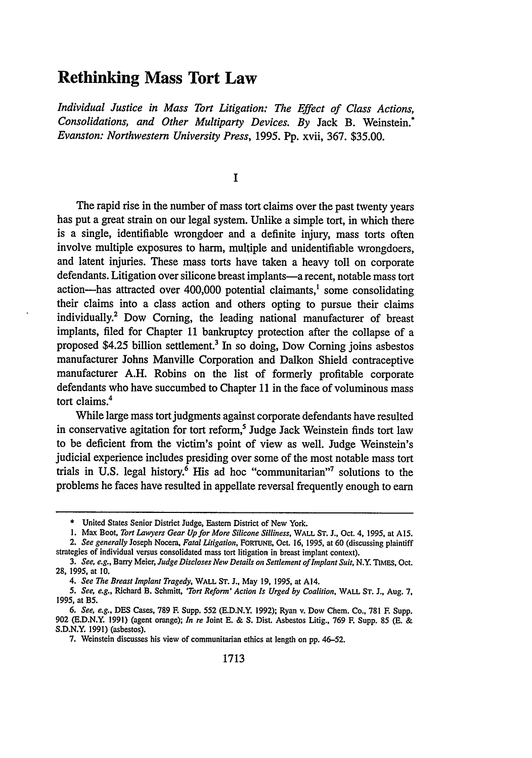## **Rethinking Mass Tort Law**

*Individual Justice in Mass Tort Litigation: The Effect of Class Actions, Consolidations, and Other Multiparty Devices. By* Jack B. Weinstein.\* *Evanston: Northwestern University Press,* **1995. Pp.** xvii, **367. \$35.00.**

**I**

The rapid rise in the number of mass tort claims over the past twenty years has put a great strain on our legal system. Unlike a simple tort, in which there is a single, identifiable wrongdoer and a definite injury, mass torts often involve multiple exposures to harm, multiple and unidentifiable wrongdoers, and latent injuries. These mass torts have taken a heavy toll on corporate defendants. Litigation over silicone breast implants-a recent, notable mass tort action-has attracted over 400,000 potential claimants,' some consolidating their claims into a class action and others opting to pursue their claims individually.' Dow Coming, the leading national manufacturer of breast implants, filed for Chapter 11 bankruptcy protection after the collapse of a proposed \$4.25 billion settlement.<sup>3</sup> In so doing, Dow Corning joins asbestos manufacturer Johns Manville Corporation and Dalkon Shield contraceptive manufacturer A.H. Robins on the list of formerly profitable corporate defendants who have succumbed to Chapter 11 in the face of voluminous mass tort claims.4

While large mass tort judgments against corporate defendants have resulted in conservative agitation for tort reform,<sup>5</sup> Judge Jack Weinstein finds tort law to be deficient from the victim's point of view as well. Judge Weinstein's judicial experience includes presiding over some of the most notable mass tort trials in U.S. legal history.<sup>6</sup> His ad hoc "communitarian" solutions to the problems he faces have resulted in appellate reversal frequently enough to earn

<sup>\*</sup> United States Senior District Judge, Eastern District of New York.

**<sup>1.</sup>** Max Boot, *Tort Lawyers Gear Up for More Silicone Silliness,* WALL **ST.** J., Oct. 4, 1995, at A15. *2. See generally* Joseph Nocera, *Fatal Litigation,* FORTUNE, Oct. 16, 1995, at 60 (discussing plaintiff

strategies of individual versus consolidated mass tort litigation in breast implant context). *3. See, e.g.,* Barry Meier, *Judge Discloses New Details on Settlement of Implant Suit,* N.Y. TIMEs, Oct. 28, 1995, at 10.

*<sup>4.</sup> See The Breast Implant Tragedy,* WALL **ST.** J., May **19,** 1995, at A14.

*<sup>5.</sup> See, e.g.,* Richard B. Schmitt, *'Tort Reform' Action Is Urged by Coalition,* WALL **ST.** J., Aug. 7, 1995, at B5.

*<sup>6.</sup> See, e.g.,* **DES** Cases, 789 F. Supp. **552** (E.D.N.Y. 1992); Ryan v. Dow Chem. Co., 781 F. Supp. **902** (E.D.N.Y. 1991) (agent orange); *In re* Joint E. **&** S. Dist. Asbestos Litig., 769 F. Supp. 85 (E. & **S.D.N.Y.** 1991) (asbestos).

**<sup>7.</sup>** Weinstein discusses his view of communitarian ethics at length on **pp.** 46-52.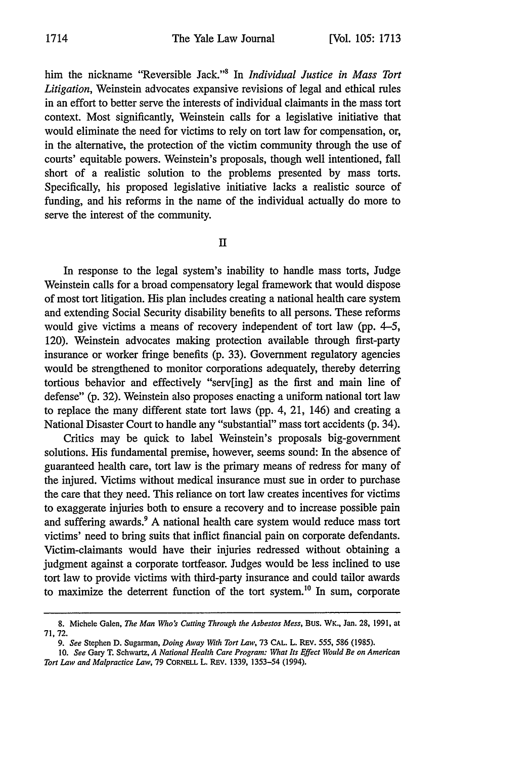him the nickname "Reversible Jack."' In *Individual Justice in Mass Tort Litigation,* Weinstein advocates expansive revisions of legal and ethical rules in an effort to better serve the interests of individual claimants in the mass tort context. Most significantly, Weinstein calls for a legislative initiative that would eliminate the need for victims to rely on tort law for compensation, or, in the alternative, the protection of the victim community through the use of courts' equitable powers. Weinstein's proposals, though well intentioned, fall short of a realistic solution to the problems presented by mass torts. Specifically, his proposed legislative initiative lacks a realistic source of funding, and his reforms in the name of the individual actually do more to serve the interest of the community.

II

In response to the legal system's inability to handle mass torts, Judge Weinstein calls for a broad compensatory legal framework that would dispose of most tort litigation. His plan includes creating a national health care system and extending Social Security disability benefits to all persons. These reforms would give victims a means of recovery independent of tort law (pp. 4-5, 120). Weinstein advocates making protection available through first-party insurance or worker fringe benefits (p. 33). Government regulatory agencies would be strengthened to monitor corporations adequately, thereby deterring tortious behavior and effectively "serv[ing] as the first and main line of defense" (p. 32). Weinstein also proposes enacting a uniform national tort law to replace the many different state tort laws (pp. 4, 21, 146) and creating a National Disaster Court to handle any "substantial" mass tort accidents (p. 34).

Critics may be quick to label Weinstein's proposals big-government solutions. His fundamental premise, however, seems sound: In the absence of guaranteed health care, tort law is the primary means of redress for many of the injured. Victims without medical insurance must sue in order to purchase the care that they need. This reliance on tort law creates incentives for victims to exaggerate injuries both to ensure a recovery and to increase possible pain and suffering awards.<sup>9</sup> A national health care system would reduce mass tort victims' need to bring suits that inflict financial pain on corporate defendants. Victim-claimants would have their injuries redressed without obtaining a judgment against a corporate tortfeasor. Judges would be less inclined to use tort law to provide victims with third-party insurance and could tailor awards to maximize the deterrent function of the tort system.'0 In sum, corporate

<sup>8.</sup> Michele Galen, *The Man Who's Cutting Through the Asbestos Mess,* Bus. WK., Jan. **28,** 1991, at **71,** 72.

*<sup>9.</sup> See* Stephen D. Sugarman, *Doing Away With Tort Law,* 73 CAL. L. REv. **555,** 586 (1985).

*<sup>10.</sup> See* Gary T. Schwartz, *A National Health Care Program: What Its Effect Would Be on American Tort Law and Malpractice Law,* 79 CORNELL L. REv. 1339, **1353-54** (1994).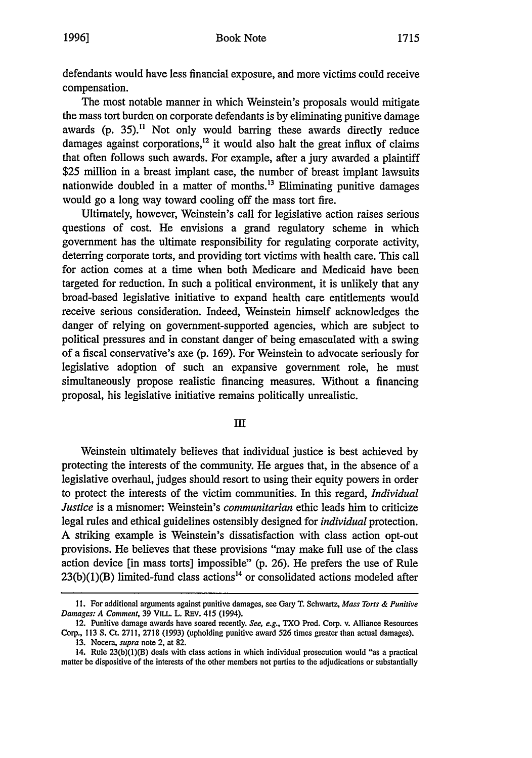defendants would have less financial exposure, and more victims could receive compensation.

The most notable manner in which Weinstein's proposals would mitigate the mass tort burden on corporate defendants is by eliminating punitive damage awards (p. **35)."** Not only would barring these awards directly reduce damages against corporations,<sup>12</sup> it would also halt the great influx of claims that often follows such awards. For example, after a jury awarded a plaintiff \$25 million in a breast implant case, the number of breast implant lawsuits nationwide doubled in a matter of months.<sup>13</sup> Eliminating punitive damages would go a long way toward cooling off the mass tort fire.

Ultimately, however, Weinstein's call for legislative action raises serious questions of cost. He envisions a grand regulatory scheme in which government has the ultimate responsibility for regulating corporate activity, deterring corporate torts, and providing tort victims with health care. This call for action comes at a time when both Medicare and Medicaid have been targeted for reduction. In such a political environment, it is unlikely that any broad-based legislative initiative to expand health care entitlements would receive serious consideration. Indeed, Weinstein himself acknowledges the danger of relying on government-supported agencies, which are subject to political pressures and in constant danger of being emasculated with a swing of a fiscal conservative's axe (p. 169). For Weinstein to advocate seriously for legislative adoption of such an expansive government role, he must simultaneously propose realistic financing measures. Without a financing proposal, his legislative initiative remains politically unrealistic.

**III**

Weinstein ultimately believes that individual justice is best achieved by protecting the interests of the community. He argues that, in the absence of a legislative overhaul, judges should resort to using their equity powers in order to protect the interests of the victim communities. In this regard, *Individual Justice* is a misnomer: Weinstein's *communitarian* ethic leads him to criticize legal rules and ethical guidelines ostensibly designed for *individual* protection. A striking example is Weinstein's dissatisfaction with class action opt-out provisions. He believes that these provisions "may make full use of the class action device [in mass torts] impossible" (p. 26). He prefers the use of Rule  $23(b)(1)(B)$  limited-fund class actions<sup>14</sup> or consolidated actions modeled after

**<sup>11.</sup>** For additional arguments against punitive damages, see Gary T. Schwartz, *Mass Torts & Punitive* Damages: **A** Comment, **39** VILL L. REv. 415 (1994).

<sup>12.</sup> Punitive damage awards have soared recently. *See,* e.g., TXO Prod. Corp. **v.** Alliance Resources Corp., 113 **S.** Ct. 2711, 2718 (1993) (upholding punitive award 526 times greater than actual damages). 13. Nocera, *supra* note 2, at 82.

<sup>14.</sup> Rule 23(b)(1)(B) deals with class actions in which individual prosecution would "as a practical matter be dispositive of the interests of the other members not parties to the adjudications or substantially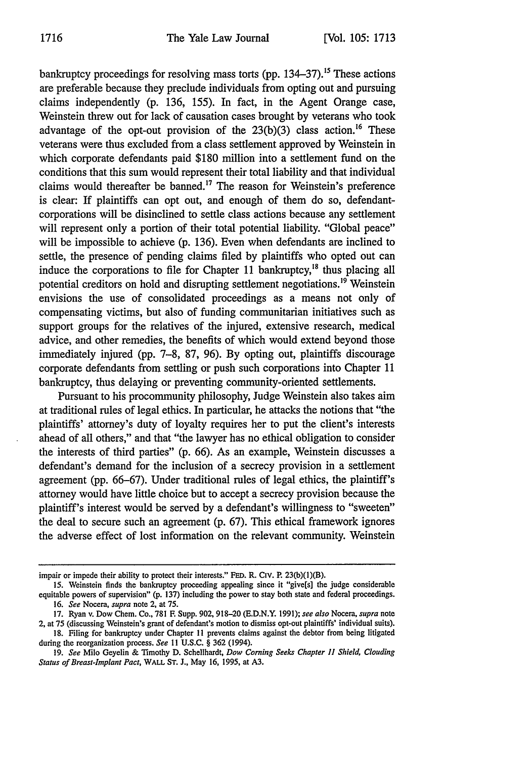bankruptcy proceedings for resolving mass torts (pp. 134–37).<sup>15</sup> These actions are preferable because they preclude individuals from opting out and pursuing claims independently (p. 136, 155). In fact, in the Agent Orange case, Weinstein threw out for lack of causation cases brought by veterans who took advantage of the opt-out provision of the  $23(b)(3)$  class action.<sup>16</sup> These veterans were thus excluded from a class settlement approved by Weinstein in which corporate defendants paid \$180 million into a settlement fund on the conditions that this sum would represent their total liability and that individual claims would thereafter be banned.<sup>17</sup> The reason for Weinstein's preference is clear: If plaintiffs can opt out, and enough of them do so, defendantcorporations will be disinclined to settle class actions because any settlement will represent only a portion of their total potential liability. "Global peace" will be impossible to achieve (p. 136). Even when defendants are inclined to settle, the presence of pending claims filed by plaintiffs who opted out can induce the corporations to file for Chapter 11 bankruptcy, $^{18}$  thus placing all potential creditors on hold and disrupting settlement negotiations.<sup>19</sup> Weinstein envisions the use of consolidated proceedings as a means not only of compensating victims, but also of funding communitarian initiatives such as support groups for the relatives of the injured, extensive research, medical advice, and other remedies, the benefits of which would extend beyond those immediately injured (pp. 7-8, 87, 96). By opting out, plaintiffs discourage corporate defendants from settling or push such corporations into Chapter 11 bankruptcy, thus delaying or preventing community-oriented settlements.

Pursuant to his procommunity philosophy, Judge Weinstein also takes aim at traditional rules of legal ethics. In particular, he attacks the notions that "the plaintiffs' attorney's duty of loyalty requires her to put the client's interests ahead of all others," and that "the lawyer has no ethical obligation to consider the interests of third parties" (p. 66). As an example, Weinstein discusses a defendant's demand for the inclusion of a secrecy provision in a settlement agreement (pp. 66-67). Under traditional rules of legal ethics, the plaintiff's attorney would have little choice but to accept a secrecy provision because the plaintiff's interest would be served by a defendant's willingness to "sweeten" the deal to secure such an agreement (p. 67). This ethical framework ignores the adverse effect of lost information on the relevant community. Weinstein

impair or impede their ability to protect their interests." FED. R. Civ. P. 23(b)(1)(B).

<sup>15.</sup> Weinstein finds the bankruptcy proceeding appealing since it "give[s] the judge considerable equitable powers of supervision" (p. 137) including the power to stay both state and federal proceedings. 16. *See Nocera, supra* note 2, at 75.

<sup>17.</sup> Ryan v. Dow Chem. Co., 781 F Supp. 902, 918-20 (E.D.N.Y. 1991); *see also* Nocera, *supra* note 2, at 75 (discussing Weinstein's grant of defendant's motion to dismiss opt-out plaintiffs' individual suits).

<sup>18.</sup> Filing for bankruptcy under Chapter 11 prevents claims against the debtor from being litigated during the reorganization process. *See* 11 U.S.C. § 362 (1994).

<sup>19.</sup> *See* Milo Geyelin & Timothy D. Schellhardt, *Dow Coming Seeks Chapter* **11** *Shield, Clouding Status of Breast-Implant Pact,* WALL **ST. J.,** May **16,** 1995, at **A3.**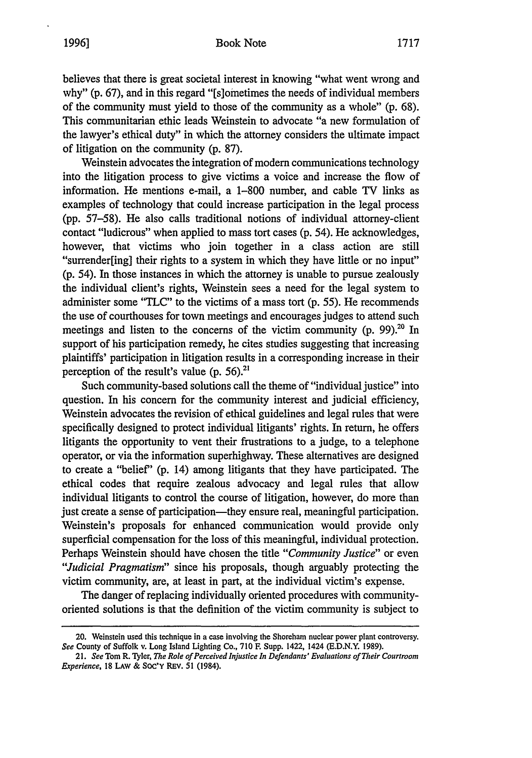## Book Note **1996] 1717**

believes that there is great societal interest in knowing "what went wrong and why" (p. 67), and in this regard "[s]ometimes the needs of individual members of the community must yield to those of the community as a whole" (p. 68). This communitarian ethic leads Weinstein to advocate "a new formulation of the lawyer's ethical duty" in which the attorney considers the ultimate impact of litigation on the community (p. 87).

Weinstein advocates the integration of modem communications technology into the litigation process to give victims a voice and increase the flow of information. He mentions e-mail, a 1-800 number, and cable TV links as examples of technology that could increase participation in the legal process (pp. 57-58). He also calls traditional notions of individual attorney-client contact "ludicrous" when applied to mass tort cases (p. 54). He acknowledges, however, that victims who join together in a class action are still "surrender[ing] their rights to a system in which they have little or no input" (p. 54). In those instances in which the attorney is unable to pursue zealously the individual client's rights, Weinstein sees a need for the legal system to administer some "TLC" to the victims of a mass tort (p. 55). He recommends the use of courthouses for town meetings and encourages judges to attend such meetings and listen to the concerns of the victim community (p. 99). $^{20}$  In support of his participation remedy, he cites studies suggesting that increasing plaintiffs' participation in litigation results in a corresponding increase in their perception of the result's value (p. **56).21**

Such community-based solutions call the theme of "individual justice" into question. In his concern for the community interest and judicial efficiency, Weinstein advocates the revision of ethical guidelines and legal rules that were specifically designed to protect individual litigants' rights. In return, he offers litigants the opportunity to vent their frustrations to a judge, to a telephone operator, or via the information superhighway. These alternatives are designed to create a "belief' (p. 14) among litigants that they have participated. The ethical codes that require zealous advocacy and legal rules that allow individual litigants to control the course of litigation, however, do more than just create a sense of participation—they ensure real, meaningful participation. Weinstein's proposals for enhanced communication would provide only superficial compensation for the loss of this meaningful, individual protection. Perhaps Weinstein should have chosen the title *"Community Justice"* or even *"Judicial Pragmatism"* since his proposals, though arguably protecting the victim community, are, at least in part, at the individual victim's expense.

The danger of replacing individually oriented procedures with communityoriented solutions is that the definition of the victim community is subject to

<sup>20.</sup> Weinstein used this technique in a case involving the Shoreham nuclear power plant controversy. *See* County of Suffolk v. Long Island Lighting Co., 710 F. Supp. 1422, 1424 (E.D.N.Y. 1989).

<sup>21.</sup> See Tom R. Tyler, *The Role of Perceived Injustice In Defendants' Evaluations of Their Courtroom Experience,* 18 LAW & SOC'Y REV. 51 (1984).